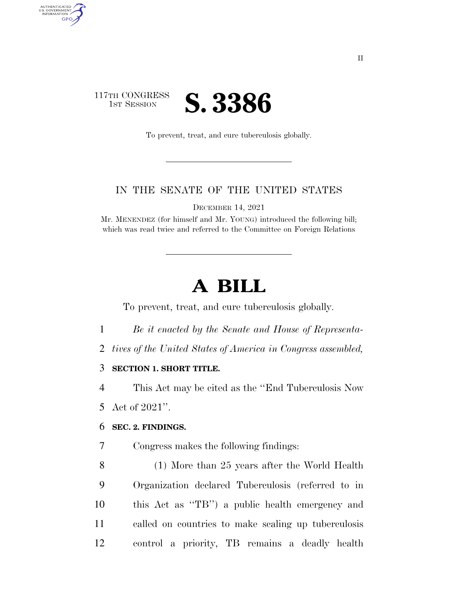## 117TH CONGRESS **IST SESSION S. 3386**

AUTHENTICATED U.S. GOVERNMENT **GPO** 

To prevent, treat, and cure tuberculosis globally.

### IN THE SENATE OF THE UNITED STATES

DECEMBER 14, 2021

Mr. MENENDEZ (for himself and Mr. YOUNG) introduced the following bill; which was read twice and referred to the Committee on Foreign Relations

# **A BILL**

To prevent, treat, and cure tuberculosis globally.

- 1 *Be it enacted by the Senate and House of Representa-*
- 2 *tives of the United States of America in Congress assembled,*

### 3 **SECTION 1. SHORT TITLE.**

4 This Act may be cited as the ''End Tuberculosis Now

5 Act of 2021''.

#### 6 **SEC. 2. FINDINGS.**

- 7 Congress makes the following findings:
- 8 (1) More than 25 years after the World Health 9 Organization declared Tuberculosis (referred to in 10 this Act as ''TB'') a public health emergency and 11 called on countries to make scaling up tuberculosis 12 control a priority, TB remains a deadly health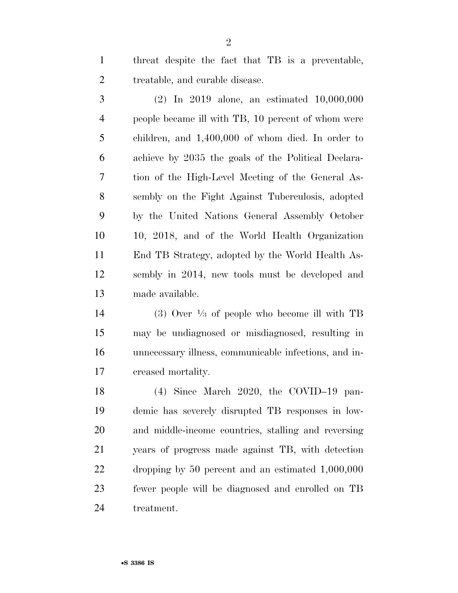threat despite the fact that TB is a preventable, treatable, and curable disease.

 (2) In 2019 alone, an estimated 10,000,000 people became ill with TB, 10 percent of whom were children, and 1,400,000 of whom died. In order to achieve by 2035 the goals of the Political Declara- tion of the High-Level Meeting of the General As- sembly on the Fight Against Tuberculosis, adopted by the United Nations General Assembly October 10, 2018, and of the World Health Organization End TB Strategy, adopted by the World Health As- sembly in 2014, new tools must be developed and made available.

 $(3)$  Over  $\frac{1}{3}$  of people who become ill with TB may be undiagnosed or misdiagnosed, resulting in unnecessary illness, communicable infections, and in-creased mortality.

 (4) Since March 2020, the COVID–19 pan- demic has severely disrupted TB responses in low- and middle-income countries, stalling and reversing years of progress made against TB, with detection dropping by 50 percent and an estimated 1,000,000 fewer people will be diagnosed and enrolled on TB treatment.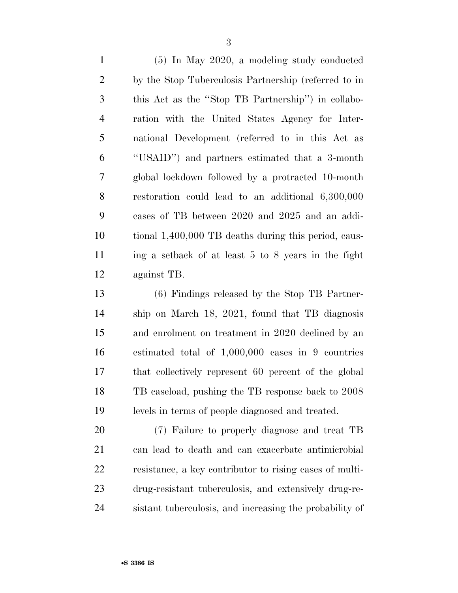(5) In May 2020, a modeling study conducted by the Stop Tuberculosis Partnership (referred to in this Act as the ''Stop TB Partnership'') in collabo- ration with the United States Agency for Inter- national Development (referred to in this Act as ''USAID'') and partners estimated that a 3-month global lockdown followed by a protracted 10-month restoration could lead to an additional 6,300,000 cases of TB between 2020 and 2025 and an addi- tional 1,400,000 TB deaths during this period, caus- ing a setback of at least 5 to 8 years in the fight against TB.

 (6) Findings released by the Stop TB Partner- ship on March 18, 2021, found that TB diagnosis and enrolment on treatment in 2020 declined by an estimated total of 1,000,000 cases in 9 countries that collectively represent 60 percent of the global TB caseload, pushing the TB response back to 2008 levels in terms of people diagnosed and treated.

 (7) Failure to properly diagnose and treat TB can lead to death and can exacerbate antimicrobial resistance, a key contributor to rising cases of multi- drug-resistant tuberculosis, and extensively drug-re-sistant tuberculosis, and increasing the probability of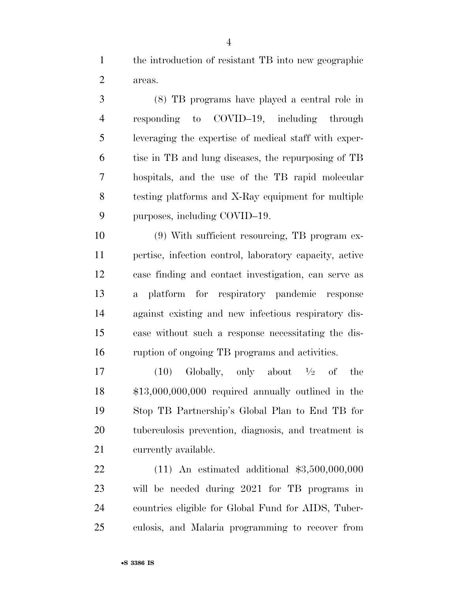the introduction of resistant TB into new geographic areas.

 (8) TB programs have played a central role in responding to COVID–19, including through leveraging the expertise of medical staff with exper- tise in TB and lung diseases, the repurposing of TB hospitals, and the use of the TB rapid molecular testing platforms and X-Ray equipment for multiple 9 purposes, including COVID–19.

 (9) With sufficient resourcing, TB program ex- pertise, infection control, laboratory capacity, active case finding and contact investigation, can serve as a platform for respiratory pandemic response against existing and new infectious respiratory dis- ease without such a response necessitating the dis-ruption of ongoing TB programs and activities.

17 (10) Globally, only about  $\frac{1}{2}$  of the \$13,000,000,000 required annually outlined in the Stop TB Partnership's Global Plan to End TB for tuberculosis prevention, diagnosis, and treatment is currently available.

 (11) An estimated additional \$3,500,000,000 will be needed during 2021 for TB programs in countries eligible for Global Fund for AIDS, Tuber-culosis, and Malaria programming to recover from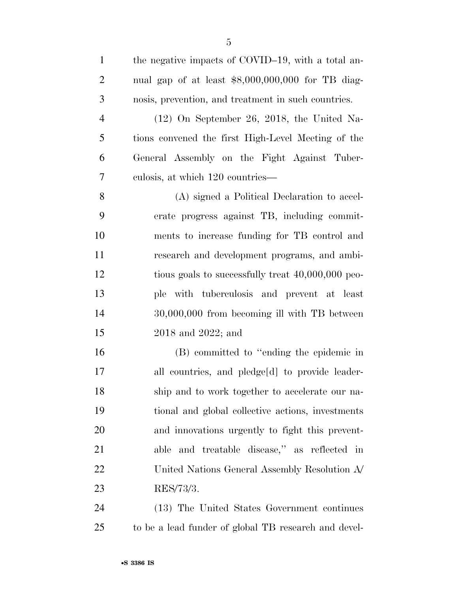| $\mathbf{1}$   | the negative impacts of COVID-19, with a total an-   |
|----------------|------------------------------------------------------|
| $\overline{2}$ | nual gap of at least $$8,000,000,000$ for TB diag-   |
| 3              | nosis, prevention, and treatment in such countries.  |
| $\overline{4}$ | $(12)$ On September 26, 2018, the United Na-         |
| 5              | tions convened the first High-Level Meeting of the   |
| 6              | General Assembly on the Fight Against Tuber-         |
| 7              | culosis, at which 120 countries—                     |
| 8              | (A) signed a Political Declaration to accel-         |
| 9              | erate progress against TB, including commit-         |
| 10             | ments to increase funding for TB control and         |
| 11             | research and development programs, and ambi-         |
| 12             | tious goals to successfully treat 40,000,000 peo-    |
| 13             | ple with tuberculosis and prevent at least           |
| 14             | 30,000,000 from becoming ill with TB between         |
| 15             | $2018$ and $2022$ ; and                              |
| 16             | (B) committed to "ending the epidemic in             |
| 17             | all countries, and pledge[d] to provide leader-      |
| 18             | ship and to work together to accelerate our na-      |
| 19             | tional and global collective actions, investments    |
| 20             | and innovations urgently to fight this prevent-      |
| 21             | able and treatable disease," as reflected in         |
| 22             | United Nations General Assembly Resolution A         |
| 23             | RES/73/3.                                            |
| 24             | (13) The United States Government continues          |
| 25             | to be a lead funder of global TB research and devel- |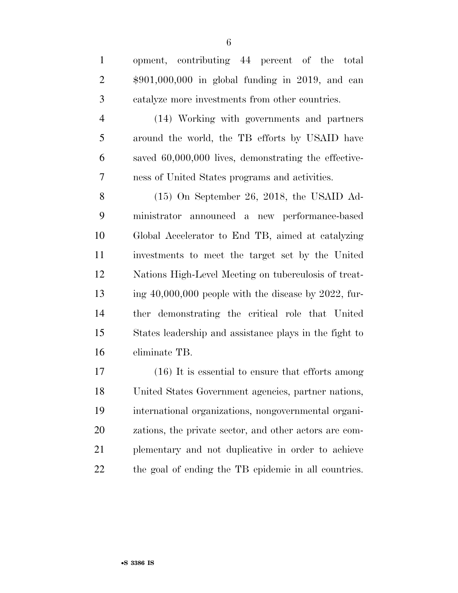opment, contributing 44 percent of the total \$901,000,000 in global funding in 2019, and can catalyze more investments from other countries. (14) Working with governments and partners around the world, the TB efforts by USAID have saved 60,000,000 lives, demonstrating the effective- ness of United States programs and activities. (15) On September 26, 2018, the USAID Ad- ministrator announced a new performance-based Global Accelerator to End TB, aimed at catalyzing investments to meet the target set by the United Nations High-Level Meeting on tuberculosis of treat-ing  $40,000,000$  people with the disease by 2022, fur-

 ther demonstrating the critical role that United States leadership and assistance plays in the fight to eliminate TB.

 (16) It is essential to ensure that efforts among United States Government agencies, partner nations, international organizations, nongovernmental organi- zations, the private sector, and other actors are com- plementary and not duplicative in order to achieve the goal of ending the TB epidemic in all countries.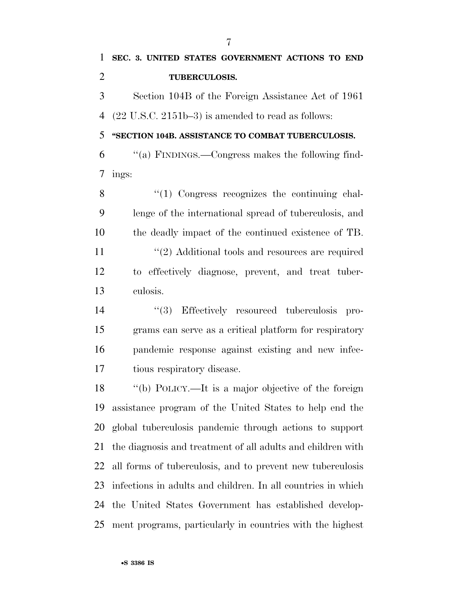**''SECTION 104B. ASSISTANCE TO COMBAT TUBERCULOSIS.** 

 ''(a) FINDINGS.—Congress makes the following find-ings:

8 "(1) Congress recognizes the continuing chal- lenge of the international spread of tuberculosis, and the deadly impact of the continued existence of TB. 11 ''(2) Additional tools and resources are required

 to effectively diagnose, prevent, and treat tuber-culosis.

 $(3)$  Effectively resourced tuberculosis pro- grams can serve as a critical platform for respiratory pandemic response against existing and new infec-tious respiratory disease.

 ''(b) POLICY.—It is a major objective of the foreign assistance program of the United States to help end the global tuberculosis pandemic through actions to support the diagnosis and treatment of all adults and children with all forms of tuberculosis, and to prevent new tuberculosis infections in adults and children. In all countries in which the United States Government has established develop-ment programs, particularly in countries with the highest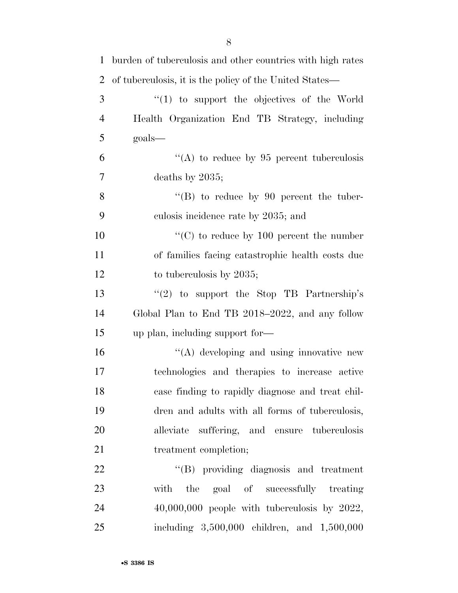| $\mathbf{1}$   | burden of tuberculosis and other countries with high rates |
|----------------|------------------------------------------------------------|
| $\overline{2}$ | of tuberculosis, it is the policy of the United States—    |
| 3              | "(1) to support the objectives of the World                |
| $\overline{4}$ | Health Organization End TB Strategy, including             |
| 5              | $\text{goals}$                                             |
| 6              | "(A) to reduce by $95$ percent tuberculosis                |
| 7              | deaths by $2035$ ;                                         |
| 8              | $\lq\lq (B)$ to reduce by 90 percent the tuber-            |
| 9              | culosis incidence rate by 2035; and                        |
| 10             | "(C) to reduce by $100$ percent the number                 |
| 11             | of families facing catastrophic health costs due           |
| 12             | to tuberculosis by 2035;                                   |
| 13             | " $(2)$ to support the Stop TB Partnership's               |
| 14             | Global Plan to End TB 2018–2022, and any follow            |
| 15             | up plan, including support for-                            |
| 16             | $\lq\lq$ developing and using innovative new               |
| 17             | technologies and therapies to increase active              |
| 18             | case finding to rapidly diagnose and treat chil-           |
| 19             | dren and adults with all forms of tuberculosis,            |
| 20             | alleviate suffering, and ensure tuberculosis               |
| 21             | treatment completion;                                      |
| 22             | "(B) providing diagnosis and treatment                     |
| 23             | the goal of successfully treating<br>with                  |
| 24             | $40,000,000$ people with tuberculosis by $2022$ ,          |
| 25             | including 3,500,000 children, and 1,500,000                |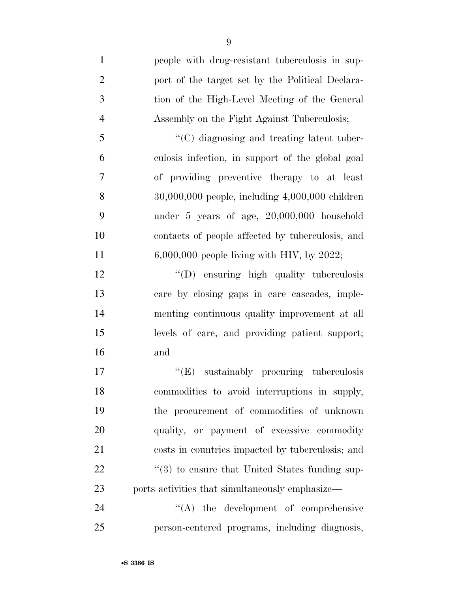| $\mathbf{1}$   | people with drug-resistant tuberculosis in sup-            |
|----------------|------------------------------------------------------------|
| $\mathbf{2}$   | port of the target set by the Political Declara-           |
| 3              | tion of the High-Level Meeting of the General              |
| $\overline{4}$ | Assembly on the Fight Against Tuberculosis;                |
| 5              | "(C) diagnosing and treating latent tuber-                 |
| 6              | culosis infection, in support of the global goal           |
| 7              | of providing preventive therapy to at least                |
| 8              | $30,000,000$ people, including $4,000,000$ children        |
| 9              | under 5 years of age, 20,000,000 household                 |
| 10             | contacts of people affected by tuberculosis, and           |
| 11             | $6,000,000$ people living with HIV, by 2022;               |
| 12             | "(D) ensuring high quality tuberculosis                    |
| 13             | care by closing gaps in care cascades, imple-              |
| 14             | menting continuous quality improvement at all              |
| 15             | levels of care, and providing patient support;             |
| 16             | and                                                        |
| 17             | "(E) sustainably procuring tuberculosis                    |
| 18             | commodities to avoid interruptions in supply,              |
| 19             | the procurement of commodities of unknown                  |
| 20             | quality, or payment of excessive commodity                 |
| 21             | costs in countries impacted by tuberculosis; and           |
| 22             | $\cdot\cdot$ (3) to ensure that United States funding sup- |
| 23             | ports activities that simultaneously emphasize—            |
| 24             | $\lq\lq$ the development of comprehensive                  |
| 25             | person-centered programs, including diagnosis,             |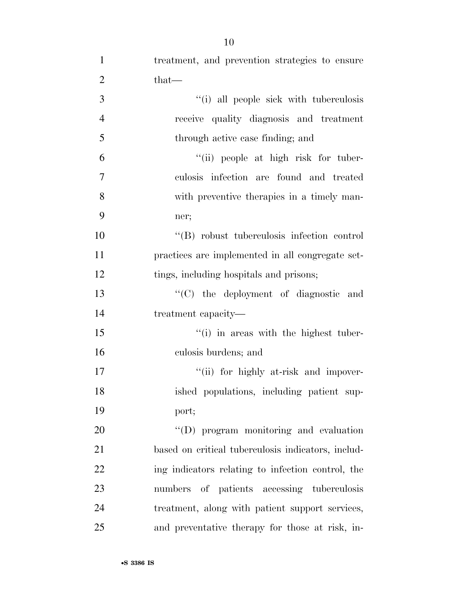| $\mathbf{1}$   | treatment, and prevention strategies to ensure     |
|----------------|----------------------------------------------------|
| $\overline{2}$ | $that$ —                                           |
| 3              | "(i) all people sick with tuberculosis             |
| $\overline{4}$ | receive quality diagnosis and treatment            |
| 5              | through active case finding; and                   |
| 6              | "(ii) people at high risk for tuber-               |
| $\tau$         | culosis infection are found and treated            |
| 8              | with preventive therapies in a timely man-         |
| 9              | ner;                                               |
| 10             | "(B) robust tuberculosis infection control         |
| 11             | practices are implemented in all congregate set-   |
| 12             | tings, including hospitals and prisons;            |
| 13             | "(C) the deployment of diagnostic and              |
| 14             | treatment capacity—                                |
| 15             | $\cdot$ (i) in areas with the highest tuber-       |
| 16             | culosis burdens; and                               |
| 17             | "(ii) for highly at-risk and impover-              |
| 18             | ished populations, including patient sup-          |
| 19             | port;                                              |
| 20             | $\lq\lq$ program monitoring and evaluation         |
| 21             | based on critical tuberculosis indicators, includ- |
| 22             | ing indicators relating to infection control, the  |
| 23             | numbers of patients accessing tuberculosis         |
| 24             | treatment, along with patient support services,    |
| 25             | and preventative therapy for those at risk, in-    |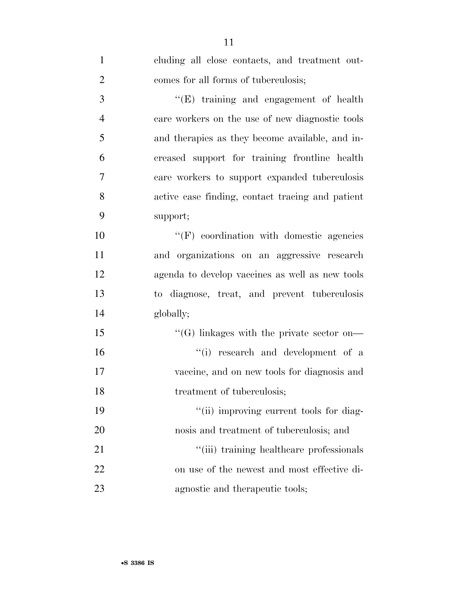| $\mathbf{1}$   | cluding all close contacts, and treatment out-   |
|----------------|--------------------------------------------------|
| $\overline{2}$ | comes for all forms of tuberculosis;             |
| $\mathfrak{Z}$ | $\lq\lq(E)$ training and engagement of health    |
| $\overline{4}$ | care workers on the use of new diagnostic tools  |
| 5              | and therapies as they become available, and in-  |
| 6              | creased support for training frontline health    |
| $\overline{7}$ | care workers to support expanded tuberculosis    |
| 8              | active case finding, contact tracing and patient |
| 9              | support;                                         |
| 10             | $\lq\lq(F)$ coordination with domestic agencies  |
| 11             | and organizations on an aggressive research      |
| 12             | agenda to develop vaccines as well as new tools  |
| 13             | to diagnose, treat, and prevent tuberculosis     |
| 14             | globally;                                        |
| 15             | $\lq\lq(G)$ linkages with the private sector on— |
| 16             | "(i) research and development of a               |
| 17             | vaccine, and on new tools for diagnosis and      |
| 18             | treatment of tuberculosis;                       |
| 19             | "(ii) improving current tools for diag-          |
| 20             | nosis and treatment of tuberculosis; and         |
| 21             | "(iii) training healthcare professionals         |
| 22             | on use of the newest and most effective di-      |
| 23             | agnostic and therapeutic tools;                  |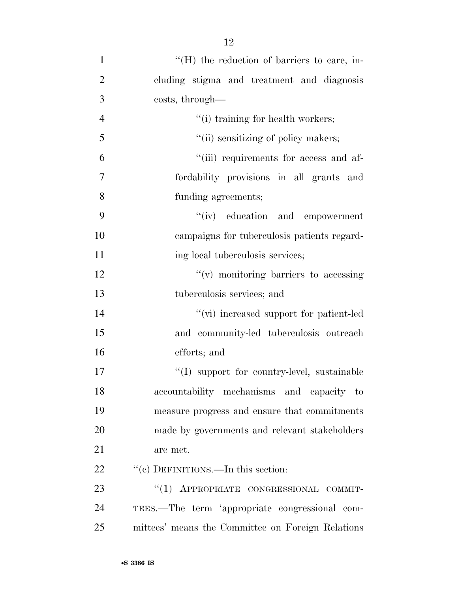| $\mathbf{1}$   | $H(H)$ the reduction of barriers to care, in-     |
|----------------|---------------------------------------------------|
| $\overline{2}$ | cluding stigma and treatment and diagnosis        |
| 3              | costs, through—                                   |
| $\overline{4}$ | "(i) training for health workers;                 |
| 5              | "(ii) sensitizing of policy makers;               |
| 6              | "(iii) requirements for access and af-            |
| 7              | fordability provisions in all grants and          |
| 8              | funding agreements;                               |
| 9              | "(iv) education and empowerment                   |
| 10             | campaigns for tuberculosis patients regard-       |
| 11             | ing local tuberculosis services;                  |
| 12             | $f'(v)$ monitoring barriers to accessing          |
| 13             | tuberculosis services; and                        |
| 14             | "(vi) increased support for patient-led           |
| 15             | and community-led tuberculosis outreach           |
| 16             | efforts; and                                      |
| 17             | "(I) support for country-level, sustainable       |
| 18             | accountability mechanisms and capacity to         |
| 19             | measure progress and ensure that commitments      |
| 20             | made by governments and relevant stakeholders     |
| 21             | are met.                                          |
| 22             | "(c) DEFINITIONS.—In this section:                |
| 23             | "(1) APPROPRIATE CONGRESSIONAL COMMIT-            |
| 24             | TEES.—The term 'appropriate congressional com-    |
| 25             | mittees' means the Committee on Foreign Relations |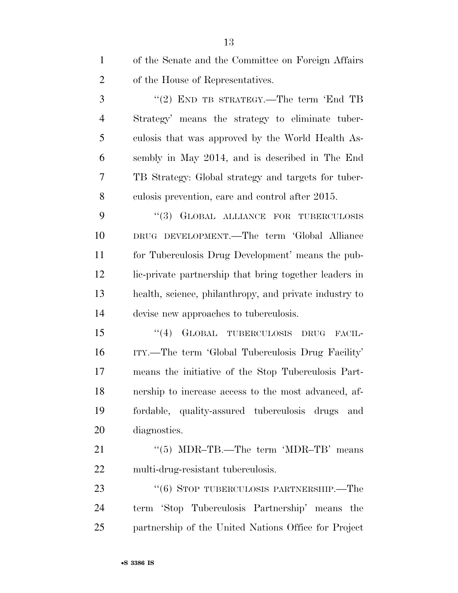of the Senate and the Committee on Foreign Affairs of the House of Representatives.

3 "(2) END TB STRATEGY.—The term 'End TB Strategy' means the strategy to eliminate tuber- culosis that was approved by the World Health As- sembly in May 2014, and is described in The End TB Strategy: Global strategy and targets for tuber-culosis prevention, care and control after 2015.

9 "(3) GLOBAL ALLIANCE FOR TUBERCULOSIS DRUG DEVELOPMENT.—The term 'Global Alliance for Tuberculosis Drug Development' means the pub- lic-private partnership that bring together leaders in health, science, philanthropy, and private industry to devise new approaches to tuberculosis.

 ''(4) GLOBAL TUBERCULOSIS DRUG FACIL- ITY.—The term 'Global Tuberculosis Drug Facility' means the initiative of the Stop Tuberculosis Part- nership to increase access to the most advanced, af- fordable, quality-assured tuberculosis drugs and diagnostics.

21 "(5) MDR–TB.—The term 'MDR–TB' means multi-drug-resistant tuberculosis.

23 "(6) STOP TUBERCULOSIS PARTNERSHIP.—The term 'Stop Tuberculosis Partnership' means the partnership of the United Nations Office for Project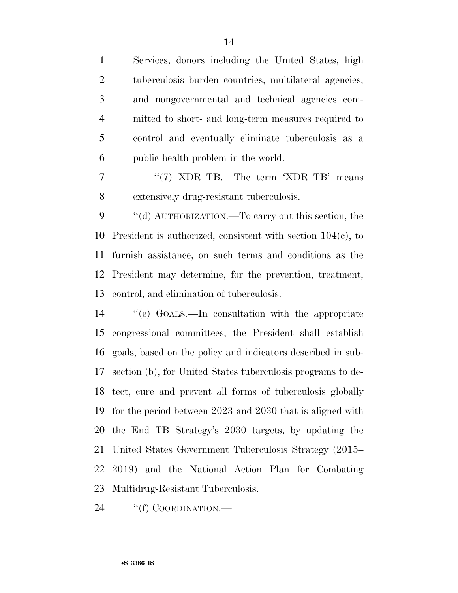Services, donors including the United States, high tuberculosis burden countries, multilateral agencies, and nongovernmental and technical agencies com- mitted to short- and long-term measures required to control and eventually eliminate tuberculosis as a public health problem in the world.

7 "'(7) XDR–TB.—The term 'XDR–TB' means extensively drug-resistant tuberculosis.

 ''(d) AUTHORIZATION.—To carry out this section, the President is authorized, consistent with section 104(c), to furnish assistance, on such terms and conditions as the President may determine, for the prevention, treatment, control, and elimination of tuberculosis.

 ''(e) GOALS.—In consultation with the appropriate congressional committees, the President shall establish goals, based on the policy and indicators described in sub- section (b), for United States tuberculosis programs to de- tect, cure and prevent all forms of tuberculosis globally for the period between 2023 and 2030 that is aligned with the End TB Strategy's 2030 targets, by updating the United States Government Tuberculosis Strategy (2015– 2019) and the National Action Plan for Combating Multidrug-Resistant Tuberculosis.

24 "(f) COORDINATION.—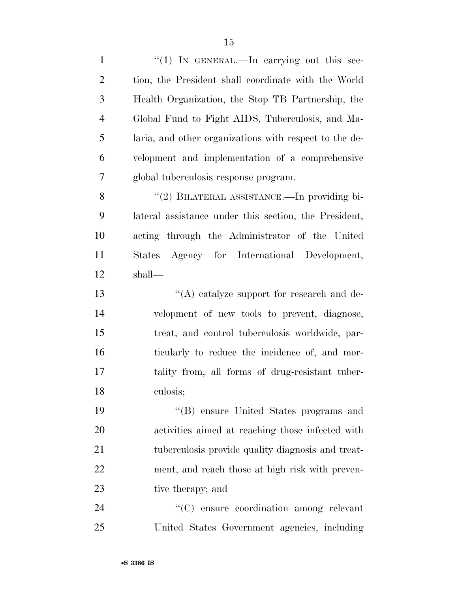1 "(1) IN GENERAL.—In carrying out this sec- tion, the President shall coordinate with the World Health Organization, the Stop TB Partnership, the Global Fund to Fight AIDS, Tuberculosis, and Ma- laria, and other organizations with respect to the de- velopment and implementation of a comprehensive global tuberculosis response program. 8 "(2) BILATERAL ASSISTANCE.—In providing bi- lateral assistance under this section, the President, acting through the Administrator of the United States Agency for International Development, shall— ''(A) catalyze support for research and de-velopment of new tools to prevent, diagnose,

 treat, and control tuberculosis worldwide, par- ticularly to reduce the incidence of, and mor- tality from, all forms of drug-resistant tuber-culosis;

 ''(B) ensure United States programs and activities aimed at reaching those infected with tuberculosis provide quality diagnosis and treat- ment, and reach those at high risk with preven-23 tive therapy; and

 ''(C) ensure coordination among relevant United States Government agencies, including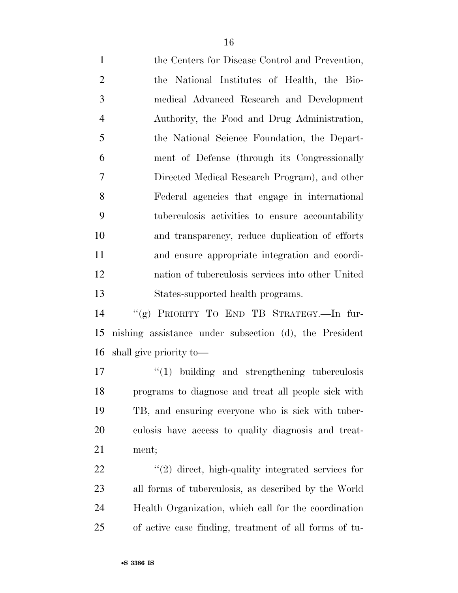the Centers for Disease Control and Prevention, the National Institutes of Health, the Bio- medical Advanced Research and Development Authority, the Food and Drug Administration, the National Science Foundation, the Depart- ment of Defense (through its Congressionally Directed Medical Research Program), and other Federal agencies that engage in international tuberculosis activities to ensure accountability and transparency, reduce duplication of efforts and ensure appropriate integration and coordi- nation of tuberculosis services into other United States-supported health programs.

 ''(g) PRIORITY TO END TB STRATEGY.—In fur- nishing assistance under subsection (d), the President shall give priority to—

 $\frac{1}{2}$   $\frac{1}{2}$  building and strengthening tuberculosis programs to diagnose and treat all people sick with TB, and ensuring everyone who is sick with tuber- culosis have access to quality diagnosis and treat-ment;

 $\frac{1}{2}$   $\frac{1}{2}$  direct, high-quality integrated services for all forms of tuberculosis, as described by the World Health Organization, which call for the coordination of active case finding, treatment of all forms of tu-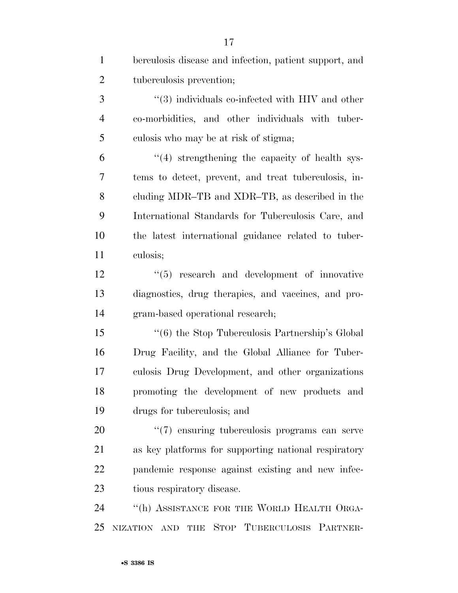| $\mathbf{1}$   | berculosis disease and infection, patient support, and      |
|----------------|-------------------------------------------------------------|
| $\overline{2}$ | tuberculosis prevention;                                    |
| 3              | $\cdot\cdot$ (3) individuals co-infected with HIV and other |
| $\overline{4}$ | co-morbidities, and other individuals with tuber-           |
| 5              | culosis who may be at risk of stigma;                       |
| 6              | $\lq(4)$ strengthening the capacity of health sys-          |
| 7              | tems to detect, prevent, and treat tuberculosis, in-        |
| 8              | cluding MDR-TB and XDR-TB, as described in the              |
| 9              | International Standards for Tuberculosis Care, and          |
| 10             | the latest international guidance related to tuber-         |
| 11             | culosis;                                                    |
| 12             | $(5)$ research and development of innovative                |
| 13             | diagnostics, drug therapies, and vaccines, and pro-         |
| 14             | gram-based operational research;                            |
| 15             | "(6) the Stop Tuberculosis Partnership's Global             |
| 16             | Drug Facility, and the Global Alliance for Tuber-           |
| 17             | culosis Drug Development, and other organizations           |
| 18             | promoting the development of new products and               |
| 19             | drugs for tuberculosis; and                                 |
| 20             | $\lq(7)$ ensuring tuberculosis programs can serve           |
| 21             | as key platforms for supporting national respiratory        |
| 22             | pandemic response against existing and new infec-           |
| 23             | tious respiratory disease.                                  |
| 24             | "(h) ASSISTANCE FOR THE WORLD HEALTH ORGA-                  |
| 25             | NIZATION AND THE STOP TUBERCULOSIS PARTNER-                 |

•**S 3386 IS**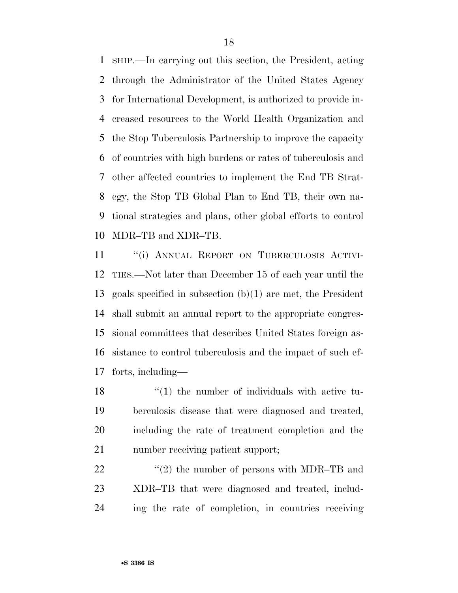SHIP.—In carrying out this section, the President, acting through the Administrator of the United States Agency for International Development, is authorized to provide in- creased resources to the World Health Organization and the Stop Tuberculosis Partnership to improve the capacity of countries with high burdens or rates of tuberculosis and other affected countries to implement the End TB Strat- egy, the Stop TB Global Plan to End TB, their own na- tional strategies and plans, other global efforts to control MDR–TB and XDR–TB.

11 "(i) ANNUAL REPORT ON TUBERCULOSIS ACTIVI- TIES.—Not later than December 15 of each year until the goals specified in subsection (b)(1) are met, the President shall submit an annual report to the appropriate congres- sional committees that describes United States foreign as- sistance to control tuberculosis and the impact of such ef-forts, including—

18 ''(1) the number of individuals with active tu- berculosis disease that were diagnosed and treated, including the rate of treatment completion and the number receiving patient support;

22  $\frac{1}{2}$  (2) the number of persons with MDR–TB and XDR–TB that were diagnosed and treated, includ-ing the rate of completion, in countries receiving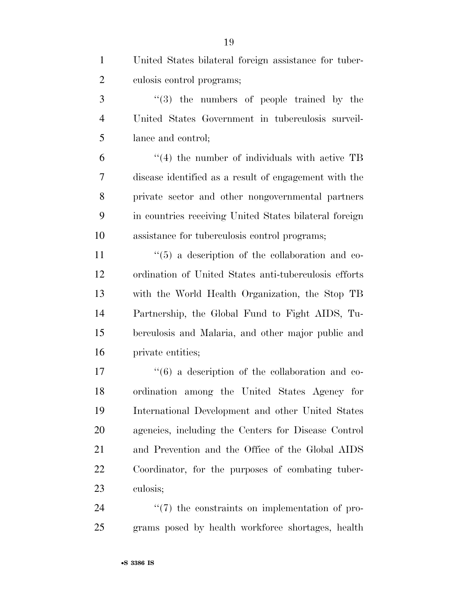| $\mathbf{1}$   | United States bilateral foreign assistance for tuber-           |
|----------------|-----------------------------------------------------------------|
| $\overline{2}$ | culosis control programs;                                       |
| 3              | $(3)$ the numbers of people trained by the                      |
| $\overline{4}$ | United States Government in tuberculosis surveil-               |
| 5              | lance and control;                                              |
| 6              | $\cdot$ (4) the number of individuals with active TB            |
| 7              | disease identified as a result of engagement with the           |
| 8              | private sector and other nongovernmental partners               |
| 9              | in countries receiving United States bilateral foreign          |
| 10             | assistance for tuberculosis control programs;                   |
| 11             | $\cdot\cdot$ (5) a description of the collaboration and co-     |
| 12             | ordination of United States anti-tuberculosis efforts           |
| 13             | with the World Health Organization, the Stop TB                 |
| 14             | Partnership, the Global Fund to Fight AIDS, Tu-                 |
| 15             | berculosis and Malaria, and other major public and              |
| 16             | private entities;                                               |
| 17             | $\cdot\cdot\cdot(6)$ a description of the collaboration and co- |
| 18             | ordination among the United States Agency for                   |
| 19             | International Development and other United States               |
| 20             | agencies, including the Centers for Disease Control             |
| 21             | and Prevention and the Office of the Global AIDS                |
| <u>22</u>      | Coordinator, for the purposes of combating tuber-               |
| 23             | culosis;                                                        |
| 24             | $\lq(7)$ the constraints on implementation of pro-              |
| 25             | grams posed by health workforce shortages, health               |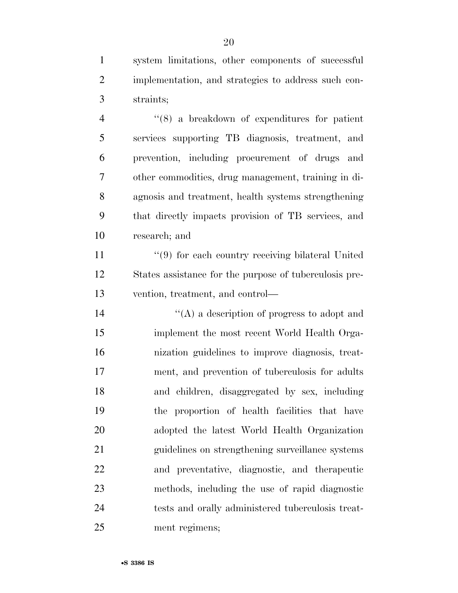system limitations, other components of successful implementation, and strategies to address such con-straints;

 ''(8) a breakdown of expenditures for patient services supporting TB diagnosis, treatment, and prevention, including procurement of drugs and other commodities, drug management, training in di- agnosis and treatment, health systems strengthening that directly impacts provision of TB services, and research; and

11 ''(9) for each country receiving bilateral United States assistance for the purpose of tuberculosis pre-vention, treatment, and control—

 $i'(A)$  a description of progress to adopt and implement the most recent World Health Orga- nization guidelines to improve diagnosis, treat- ment, and prevention of tuberculosis for adults and children, disaggregated by sex, including the proportion of health facilities that have adopted the latest World Health Organization guidelines on strengthening surveillance systems and preventative, diagnostic, and therapeutic methods, including the use of rapid diagnostic tests and orally administered tuberculosis treat-ment regimens;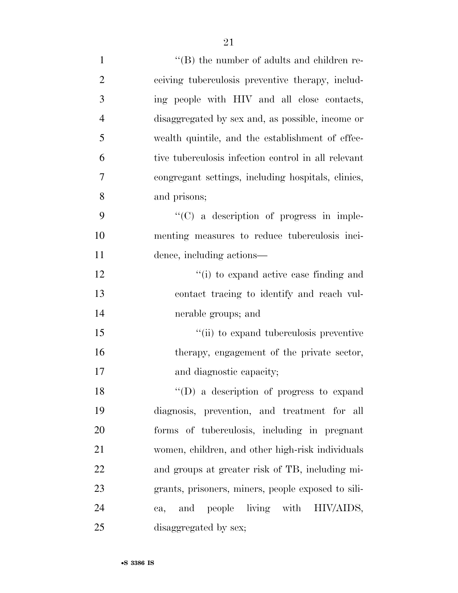| $\mathbf{1}$   | $\lq\lq (B)$ the number of adults and children re-  |
|----------------|-----------------------------------------------------|
| $\overline{2}$ | ceiving tuberculosis preventive therapy, includ-    |
| 3              | ing people with HIV and all close contacts,         |
| $\overline{4}$ | disaggregated by sex and, as possible, income or    |
| 5              | wealth quintile, and the establishment of effec-    |
| 6              | tive tuberculosis infection control in all relevant |
| 7              | congregant settings, including hospitals, clinics,  |
| 8              | and prisons;                                        |
| 9              | $\lq\lq$ (C) a description of progress in imple-    |
| 10             | menting measures to reduce tuberculosis inci-       |
| 11             | dence, including actions—                           |
| 12             | "(i) to expand active case finding and              |
| 13             | contact tracing to identify and reach vul-          |
| 14             | nerable groups; and                                 |
| 15             | "(ii) to expand tuberculosis preventive             |
| 16             | therapy, engagement of the private sector,          |
| 17             | and diagnostic capacity;                            |
| 18             | $\lq\lq$ a description of progress to expand        |
| 19             | diagnosis, prevention, and treatment for all        |
| 20             | forms of tuberculosis, including in pregnant        |
| 21             | women, children, and other high-risk individuals    |
| 22             | and groups at greater risk of TB, including mi-     |
| 23             | grants, prisoners, miners, people exposed to sili-  |
| 24             | people living with HIV/AIDS,<br>and<br>ca,          |
| 25             | disaggregated by sex;                               |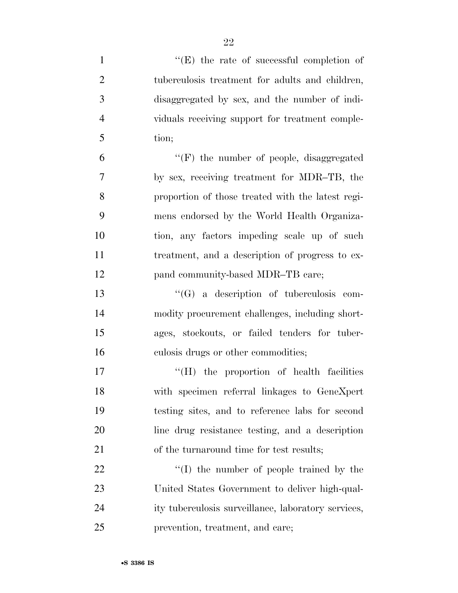| $\mathbf{1}$   | $\lq\lq(E)$ the rate of successful completion of    |
|----------------|-----------------------------------------------------|
| $\overline{2}$ | tuberculosis treatment for adults and children,     |
| 3              | disaggregated by sex, and the number of indi-       |
| $\overline{4}$ | viduals receiving support for treatment comple-     |
| 5              | tion;                                               |
| 6              | $\lq\lq(F)$ the number of people, disaggregated     |
| 7              | by sex, receiving treatment for MDR-TB, the         |
| 8              | proportion of those treated with the latest regi-   |
| 9              | mens endorsed by the World Health Organiza-         |
| 10             | tion, any factors impeding scale up of such         |
| 11             | treatment, and a description of progress to ex-     |
| 12             | pand community-based MDR-TB care;                   |
| 13             | $\lq\lq (G)$ a description of tuberculosis com-     |
| 14             | modity procurement challenges, including short-     |
| 15             | ages, stockouts, or failed tenders for tuber-       |
| 16             | culosis drugs or other commodities;                 |
| 17             | "(H) the proportion of health facilities            |
| 18             | with specimen referral linkages to GeneXpert        |
| 19             | testing sites, and to reference labs for second     |
| 20             | line drug resistance testing, and a description     |
| 21             | of the turnaround time for test results;            |
| 22             | $\lq\lq$ the number of people trained by the        |
| 23             | United States Government to deliver high-qual-      |
| 24             | ity tuberculosis surveillance, laboratory services, |
| 25             | prevention, treatment, and care;                    |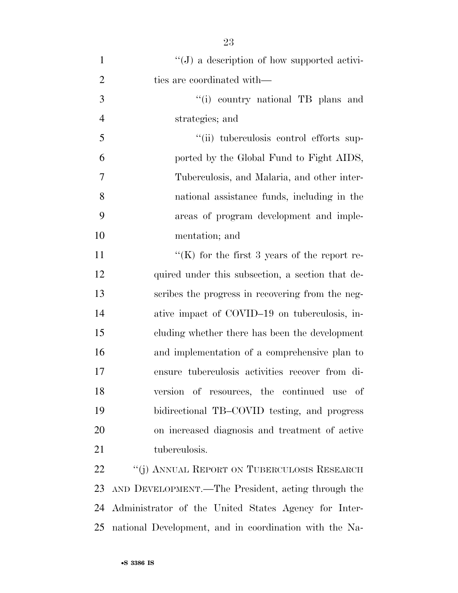| $\mathbf{1}$   | $\lq\lq(J)$ a description of how supported activi-     |
|----------------|--------------------------------------------------------|
| $\overline{2}$ | ties are coordinated with—                             |
| 3              | "(i) country national TB plans and                     |
| $\overline{4}$ | strategies; and                                        |
| 5              | "(ii) tuberculosis control efforts sup-                |
| 6              | ported by the Global Fund to Fight AIDS,               |
| 7              | Tuberculosis, and Malaria, and other inter-            |
| 8              | national assistance funds, including in the            |
| 9              | areas of program development and imple-                |
| 10             | mentation; and                                         |
| 11             | "(K) for the first 3 years of the report re-           |
| 12             | quired under this subsection, a section that de-       |
| 13             | scribes the progress in recovering from the neg-       |
| 14             | ative impact of COVID-19 on tuberculosis, in-          |
| 15             | cluding whether there has been the development         |
| 16             | and implementation of a comprehensive plan to          |
| 17             | ensure tuberculosis activities recover from di-        |
| 18             | version of resources, the continued use of             |
| 19             | bidirectional TB-COVID testing, and progress           |
| 20             | on increased diagnosis and treatment of active         |
| 21             | tuberculosis.                                          |
| <u>22</u>      | "(j) ANNUAL REPORT ON TUBERCULOSIS RESEARCH            |
| 23             | AND DEVELOPMENT.—The President, acting through the     |
| 24             | Administrator of the United States Agency for Inter-   |
| 25             | national Development, and in coordination with the Na- |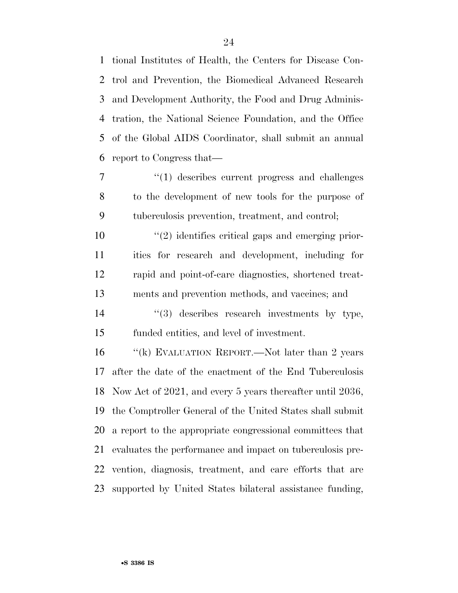tional Institutes of Health, the Centers for Disease Con- trol and Prevention, the Biomedical Advanced Research and Development Authority, the Food and Drug Adminis- tration, the National Science Foundation, and the Office of the Global AIDS Coordinator, shall submit an annual report to Congress that—

 ''(1) describes current progress and challenges to the development of new tools for the purpose of tuberculosis prevention, treatment, and control;

 $\frac{u(2)}{2}$  identifies critical gaps and emerging prior- ities for research and development, including for rapid and point-of-care diagnostics, shortened treat-ments and prevention methods, and vaccines; and

14  $(3)$  describes research investments by type, funded entities, and level of investment.

16 "(k) EVALUATION REPORT.—Not later than 2 years after the date of the enactment of the End Tuberculosis Now Act of 2021, and every 5 years thereafter until 2036, the Comptroller General of the United States shall submit a report to the appropriate congressional committees that evaluates the performance and impact on tuberculosis pre- vention, diagnosis, treatment, and care efforts that are supported by United States bilateral assistance funding,